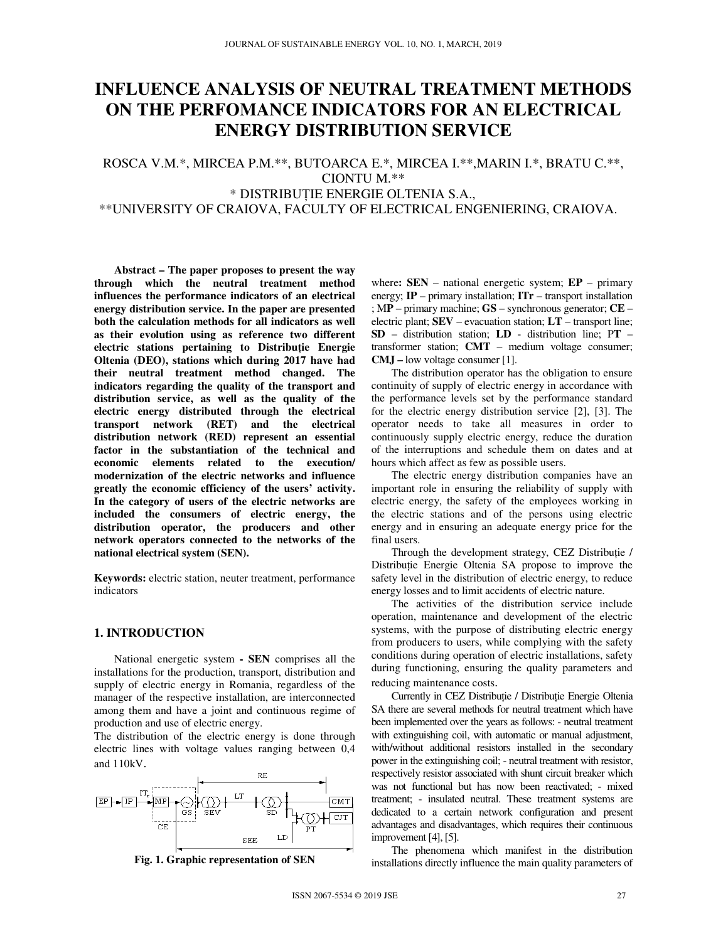# **INFLUENCE ANALYSIS OF NEUTRAL TREATMENT METHODS ON THE PERFOMANCE INDICATORS FOR AN ELECTRICAL ENERGY DISTRIBUTION SERVICE**

ROSCA V.M.\*, MIRCEA P.M.\*\*, BUTOARCA E.\*, MIRCEA I.\*\*,MARIN I.\*, BRATU C.\*\*, CIONTU M.\*\* \* D ISTRIBUŢIE ENERGIE OLTENIA S.A.,

\*\*UNIVERSITY OF CRAIOVA, FACULTY OF ELECTRICAL ENGENIERING, CRAIOVA.

**Abstract – The paper proposes to present the way through which the neutral treatment method influences the performance indicators of an electrical energy distribution service. In the paper are presented both the calculation methods for all indicators as well as their evolution using as reference two different electric stations pertaining to Distribu**ţ**ie Energie Oltenia (DEO), stations which during 2017 have had their neutral treatment method changed. The indicators regarding the quality of the transport and distribution service, as well as the quality of the electric energy distributed through the electrical transport network (RET) and the electrical distribution network (RED) represent an essential factor in the substantiation of the technical and economic elements related to the execution/ modernization of the electric networks and influence greatly the economic efficiency of the users' activity. In the category of users of the electric networks are included the consumers of electric energy, the distribution operator, the producers and other network operators connected to the networks of the national electrical system (SEN).** 

**Keywords:** electric station, neuter treatment, performance indicators

## **1. INTRODUCTION**

National energetic system **- SEN** comprises all the installations for the production, transport, distribution and supply of electric energy in Romania, regardless of the manager of the respective installation, are interconnected among them and have a joint and continuous regime of production and use of electric energy.

The distribution of the electric energy is done through electric lines with voltage values ranging between 0,4 and 110kV.





where**: SEN** – national energetic system; **EP** – primary energy; **IP** – primary installation; **ITr** – transport installation ; M**P** – primary machine; **GS** – synchronous generator; **CE** – electric plant; **SEV** – evacuation station; **LT** – transport line; **SD** – distribution station; **LD** - distribution line; P**T** – transformer station; **CMT** – medium voltage consumer; **CMJ –** low voltage consumer [1].

The distribution operator has the obligation to ensure continuity of supply of electric energy in accordance with the performance levels set by the performance standard for the electric energy distribution service [2], [3]. The operator needs to take all measures in order to continuously supply electric energy, reduce the duration of the interruptions and schedule them on dates and at hours which affect as few as possible users.

The electric energy distribution companies have an important role in ensuring the reliability of supply with electric energy, the safety of the employees working in the electric stations and of the persons using electric energy and in ensuring an adequate energy price for the final users.

Through the development strategy, CEZ Distributie / Distribuţie Energie Oltenia SA propose to improve the safety level in the distribution of electric energy, to reduce energy losses and to limit accidents of electric nature.

The activities of the distribution service include operation, maintenance and development of the electric systems, with the purpose of distributing electric energy from producers to users, while complying with the safety conditions during operation of electric installations, safety during functioning, ensuring the quality parameters and reducing maintenance costs.

Currently in CEZ Distributie / Distributie Energie Oltenia SA there are several methods for neutral treatment which have been implemented over the years as follows: - neutral treatment with extinguishing coil, with automatic or manual adjustment, with/without additional resistors installed in the secondary power in the extinguishing coil; - neutral treatment with resistor, respectively resistor associated with shunt circuit breaker which was not functional but has now been reactivated; - mixed treatment; - insulated neutral. These treatment systems are dedicated to a certain network configuration and present advantages and disadvantages, which requires their continuous improvement [4], [5].

The phenomena which manifest in the distribution installations directly influence the main quality parameters of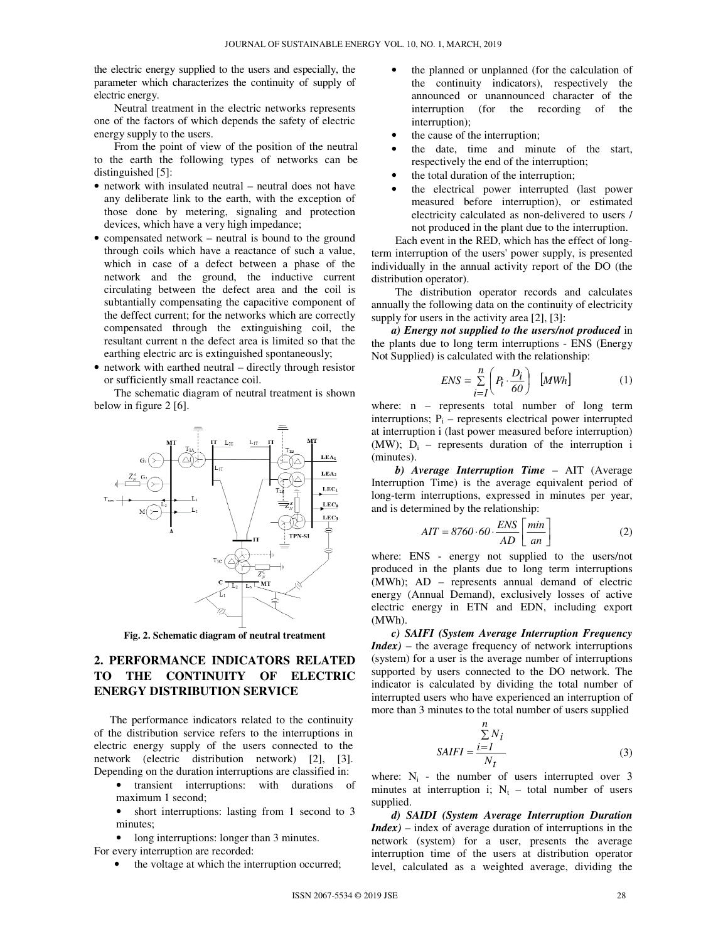the electric energy supplied to the users and especially, the parameter which characterizes the continuity of supply of electric energy.

Neutral treatment in the electric networks represents one of the factors of which depends the safety of electric energy supply to the users.

From the point of view of the position of the neutral to the earth the following types of networks can be distinguished [5]:

- network with insulated neutral neutral does not have any deliberate link to the earth, with the exception of those done by metering, signaling and protection devices, which have a very high impedance;
- compensated network neutral is bound to the ground through coils which have a reactance of such a value, which in case of a defect between a phase of the network and the ground, the inductive current circulating between the defect area and the coil is subtantially compensating the capacitive component of the deffect current; for the networks which are correctly compensated through the extinguishing coil, the resultant current n the defect area is limited so that the earthing electric arc is extinguished spontaneously;
- network with earthed neutral directly through resistor or sufficiently small reactance coil.

The schematic diagram of neutral treatment is shown below in figure 2 [6].



**Fig. 2. Schematic diagram of neutral treatment** 

## **2. PERFORMANCE INDICATORS RELATED TO THE CONTINUITY OF ELECTRIC ENERGY DISTRIBUTION SERVICE**

The performance indicators related to the continuity of the distribution service refers to the interruptions in electric energy supply of the users connected to the network (electric distribution network) [2], [3]. Depending on the duration interruptions are classified in:

- transient interruptions: with durations of maximum 1 second;
- short interruptions: lasting from 1 second to 3 minutes;
- long interruptions: longer than 3 minutes.

For every interruption are recorded:

• the voltage at which the interruption occurred;

- the planned or unplanned (for the calculation of the continuity indicators), respectively the announced or unannounced character of the interruption (for the recording of the interruption);
- the cause of the interruption;
- the date, time and minute of the start, respectively the end of the interruption;
- the total duration of the interruption;
- the electrical power interrupted (last power measured before interruption), or estimated electricity calculated as non-delivered to users / not produced in the plant due to the interruption.

Each event in the RED, which has the effect of longterm interruption of the users' power supply, is presented individually in the annual activity report of the DO (the distribution operator).

The distribution operator records and calculates annually the following data on the continuity of electricity supply for users in the activity area [2], [3]:

*a) Energy not supplied to the users/not produced* in the plants due to long term interruptions - ENS (Energy Not Supplied) is calculated with the relationship:

$$
ENS = \sum_{i=1}^{n} \left( P_i \cdot \frac{D_i}{60} \right) [MWh] \tag{1}
$$

where: n – represents total number of long term interruptions;  $P_i$  – represents electrical power interrupted at interruption i (last power measured before interruption) (MW);  $D_i$  – represents duration of the interruption i (minutes).

*b) Average Interruption Time* – AIT (Average Interruption Time) is the average equivalent period of long-term interruptions, expressed in minutes per year, and is determined by the relationship:

$$
AIT = 8760 \cdot 60 \cdot \frac{ENS}{AD} \left[ \frac{min}{an} \right] \tag{2}
$$

where: ENS - energy not supplied to the users/not produced in the plants due to long term interruptions (MWh); AD – represents annual demand of electric energy (Annual Demand), exclusively losses of active electric energy in ETN and EDN, including export (MWh).

*c) SAIFI (System Average Interruption Frequency Index)* – the average frequency of network interruptions (system) for a user is the average number of interruptions supported by users connected to the DO network. The indicator is calculated by dividing the total number of interrupted users who have experienced an interruption of more than 3 minutes to the total number of users supplied

$$
SAIFI = \frac{\sum_{i=1}^{n} N_i}{N_t}
$$
 (3)

where:  $N_i$  - the number of users interrupted over 3 minutes at interruption i;  $N_t$  – total number of users supplied.

*d) SAIDI (System Average Interruption Duration Index)* – index of average duration of interruptions in the network (system) for a user, presents the average interruption time of the users at distribution operator level, calculated as a weighted average, dividing the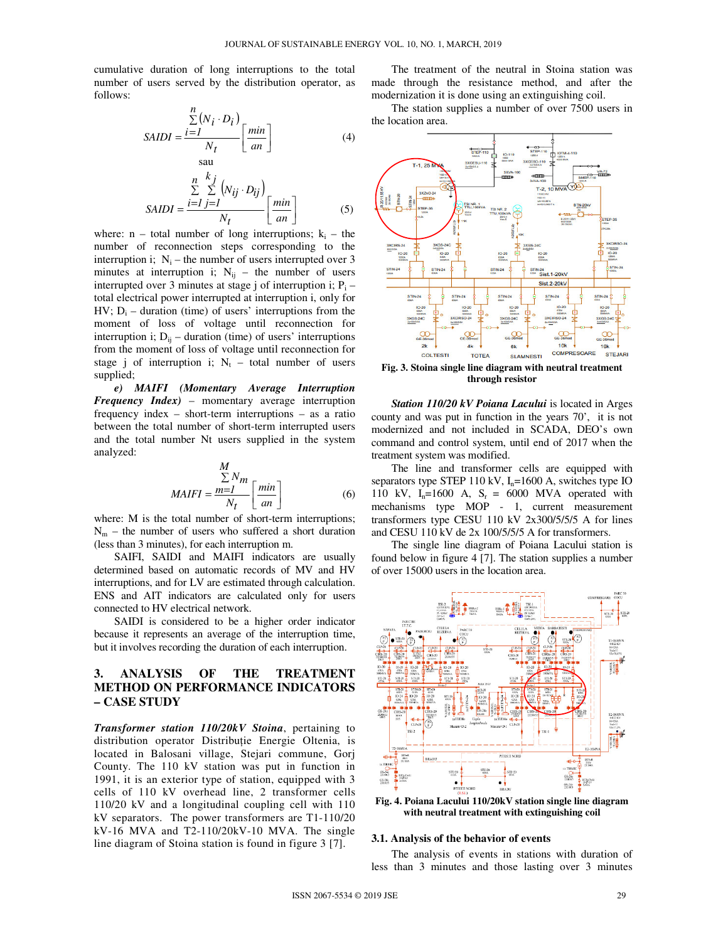cumulative duration of long interruptions to the total number of users served by the distribution operator, as follows:

sau

$$
SAIDI = \frac{\sum_{i=1}^{n} (N_i \cdot D_i)}{N_t} \left[ \frac{min}{an} \right]
$$
 (4)

$$
SADI = \frac{\sum_{i=1}^{n} \sum_{j=1}^{k_j} (N_{ij} \cdot D_{ij})}{N_t} \left[ \frac{min}{an} \right]
$$
 (5)

where:  $n - total$  number of long interruptions;  $k_i - the$ number of reconnection steps corresponding to the interruption i;  $N_i$  – the number of users interrupted over 3 minutes at interruption i;  $N_{ij}$  – the number of users interrupted over 3 minutes at stage j of interruption i;  $P_i$  – total electrical power interrupted at interruption i, only for  $HV$ ;  $D_i$  – duration (time) of users' interruptions from the moment of loss of voltage until reconnection for interruption i;  $D_{ii}$  – duration (time) of users' interruptions from the moment of loss of voltage until reconnection for stage j of interruption i;  $N_t$  – total number of users supplied;

*e) MAIFI (Momentary Average Interruption Frequency Index)* – momentary average interruption frequency index – short-term interruptions – as a ratio between the total number of short-term interrupted users and the total number Nt users supplied in the system analyzed:

$$
\frac{M}{\sum N_m}
$$
  
MAIFI = 
$$
\frac{m=I}{N_t} \left[ \frac{min}{an} \right]
$$
 (6)

where: M is the total number of short-term interruptions;  $N_m$  – the number of users who suffered a short duration (less than 3 minutes), for each interruption m.

SAIFI, SAIDI and MAIFI indicators are usually determined based on automatic records of MV and HV interruptions, and for LV are estimated through calculation. ENS and AIT indicators are calculated only for users connected to HV electrical network.

SAIDI is considered to be a higher order indicator because it represents an average of the interruption time, but it involves recording the duration of each interruption.

## **3. ANALYSIS OF THE TREATMENT METHOD ON PERFORMANCE INDICATORS – CASE STUDY**

*Transformer station 110/20kV Stoina*, pertaining to distribution operator Distribuție Energie Oltenia, is located in Balosani village, Stejari commune, Gorj County. The 110 kV station was put in function in 1991, it is an exterior type of station, equipped with 3 cells of 110 kV overhead line, 2 transformer cells 110/20 kV and a longitudinal coupling cell with 110 kV separators. The power transformers are T1-110/20  $kV-16$  MVA and T2-110/20 $kV-10$  MVA. The single line diagram of Stoina station is found in figure 3 [7].

The treatment of the neutral in Stoina station was made through the resistance method, and after the modernization it is done using an extinguishing coil.

The station supplies a number of over 7500 users in the location area.



**Fig. 3. Stoina single line diagram with neutral treatment through resistor** 

*Station 110/20 kV Poiana Lacului* is located in Arges county and was put in function in the years 70', it is not modernized and not included in SCADA, DEO's own command and control system, until end of 2017 when the treatment system was modified.

The line and transformer cells are equipped with separators type STEP 110 kV,  $I_n = 1600$  A, switches type IO 110 kV,  $I_n=1600$  A,  $S_r = 6000$  MVA operated with mechanisms type MOP - 1, current measurement transformers type CESU 110 kV 2x300/5/5/5 A for lines and CESU 110 kV de 2x 100/5/5/5 A for transformers.

The single line diagram of Poiana Lacului station is found below in figure 4 [7]. The station supplies a number of over 15000 users in the location area.



**Fig. 4. Poiana Lacului 110/20kV station single line diagram with neutral treatment with extinguishing coil**

#### **3.1. Analysis of the behavior of events**

The analysis of events in stations with duration of less than 3 minutes and those lasting over 3 minutes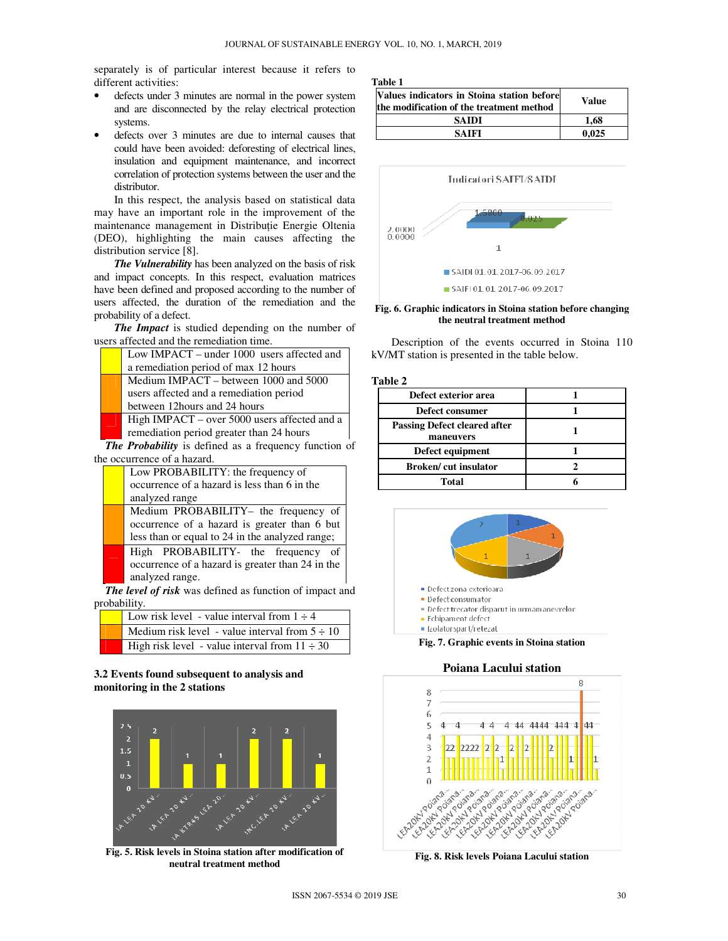separately is of particular interest because it refers to different activities:

- defects under 3 minutes are normal in the power system and are disconnected by the relay electrical protection systems.
- defects over 3 minutes are due to internal causes that could have been avoided: deforesting of electrical lines, insulation and equipment maintenance, and incorrect correlation of protection systems between the user and the distributor.

In this respect, the analysis based on statistical data may have an important role in the improvement of the maintenance management in Distribuție Energie Oltenia (DEO), highlighting the main causes affecting the distribution service [8].

*The Vulnerability* has been analyzed on the basis of risk and impact concepts. In this respect, evaluation matrices have been defined and proposed according to the number of users affected, the duration of the remediation and the probability of a defect.

*The Impact* is studied depending on the number of users affected and the remediation time.

|                             |                                                              | Low IMPACT – under 1000 users affected and   |  |
|-----------------------------|--------------------------------------------------------------|----------------------------------------------|--|
|                             |                                                              | a remediation period of max 12 hours         |  |
|                             |                                                              | Medium IMPACT – between 1000 and 5000        |  |
|                             |                                                              | users affected and a remediation period      |  |
|                             |                                                              | between 12 hours and 24 hours                |  |
|                             |                                                              | High IMPACT – over 5000 users affected and a |  |
|                             |                                                              | remediation period greater than 24 hours     |  |
|                             | <b>The Probability</b> is defined as a frequency function of |                                              |  |
| the occurrence of a hazard. |                                                              |                                              |  |

|                                                       | Low PROBABILITY: the frequency of                |  |
|-------------------------------------------------------|--------------------------------------------------|--|
|                                                       | occurrence of a hazard is less than 6 in the     |  |
|                                                       | analyzed range                                   |  |
|                                                       | Medium PROBABILITY- the frequency of             |  |
|                                                       | occurrence of a hazard is greater than 6 but     |  |
|                                                       | less than or equal to 24 in the analyzed range;  |  |
|                                                       | High PROBABILITY- the frequency of               |  |
|                                                       | occurrence of a hazard is greater than 24 in the |  |
|                                                       | analyzed range.                                  |  |
| he level of risk was defined as function of imnact an |                                                  |  |

*The level of risk* was defined as function of impact and probability.

| Low risk level - value interval from $1 \div 4$     |
|-----------------------------------------------------|
| Medium risk level - value interval from $5 \div 10$ |
| High risk level - value interval from $11 \div 30$  |

## **3.2 Events found subsequent to analysis and monitoring in the 2 stations**



**Fig. 5. Risk levels in Stoina station after modification of neutral treatment method** 

**Table 1**

| Values indicators in Stoina station before<br>the modification of the treatment method | Value |
|----------------------------------------------------------------------------------------|-------|
| SAIDI                                                                                  | 1.68  |
| SAIFI                                                                                  | 0.025 |



**Fig. 6. Graphic indicators in Stoina station before changing the neutral treatment method** 

 Description of the events occurred in Stoina 110 kV/MT station is presented in the table below.

### **Table 2**

| Defect exterior area                             |  |
|--------------------------------------------------|--|
| Defect consumer                                  |  |
| <b>Passing Defect cleared after</b><br>maneuvers |  |
| Defect equipment                                 |  |
| <b>Broken/cut insulator</b>                      |  |
| Total                                            |  |



#### **Poiana Lacului station**



**Fig. 8. Risk levels Poiana Lacului station**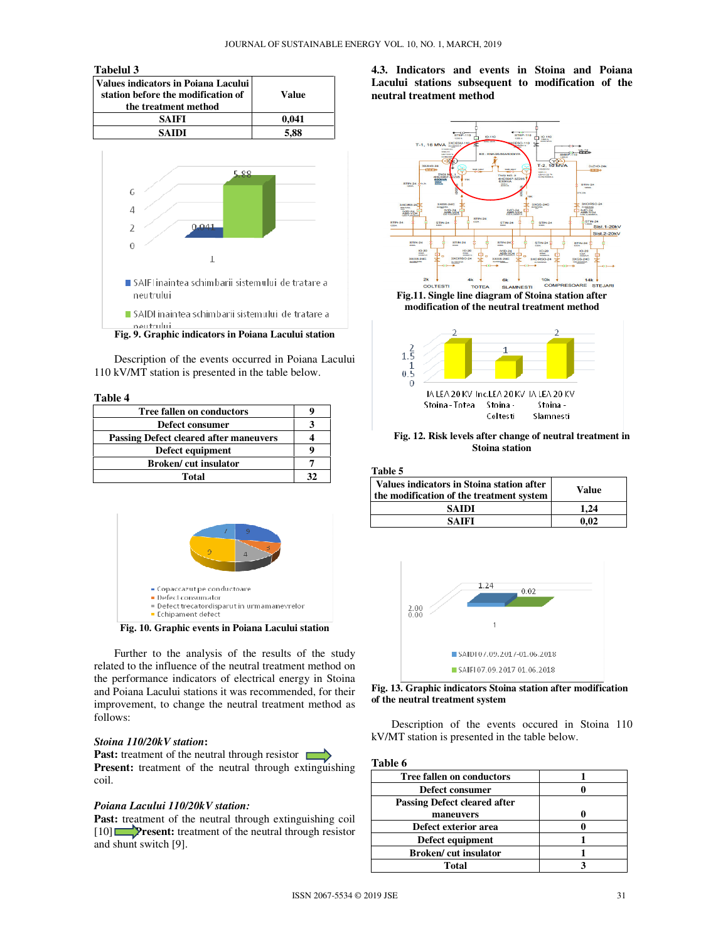#### **Tabelul 3**

| Values indicators in Poiana Lacului<br>station before the modification of<br>the treatment method | Value |
|---------------------------------------------------------------------------------------------------|-------|
| <b>SAIFI</b>                                                                                      | 0.041 |
| <b>SAIDI</b>                                                                                      | 5,88  |



**Fig. 9. Graphic indicators in Poiana Lacului station** 

Description of the events occurred in Poiana Lacului 110 kV/MT station is presented in the table below.

#### **Table 4**

| <b>Tree fallen on conductors</b>              |  |
|-----------------------------------------------|--|
| Defect consumer                               |  |
| <b>Passing Defect cleared after maneuvers</b> |  |
| Defect equipment                              |  |
| <b>Broken</b> /cut insulator                  |  |
| Total                                         |  |



**Fig. 10. Graphic events in Poiana Lacului station** 

 Further to the analysis of the results of the study related to the influence of the neutral treatment method on the performance indicators of electrical energy in Stoina and Poiana Lacului stations it was recommended, for their improvement, to change the neutral treatment method as follows:

#### *Stoina 110/20kV station***:**

**Past:** treatment of the neutral through resistor **Present:** treatment of the neutral through extinguishing coil.

#### *Poiana Lacului 110/20kV station:*

Past: treatment of the neutral through extinguishing coil [10] **Present:** treatment of the neutral through resistor and shunt switch [9].

## **4.3. Indicators and events in Stoina and Poiana Lacului stations subsequent to modification of the neutral treatment method**



**modification of the neutral treatment method** 



**Fig. 12. Risk levels after change of neutral treatment in Stoina station**

**Table 5**

| Values indicators in Stoina station after<br>the modification of the treatment system | Value |
|---------------------------------------------------------------------------------------|-------|
| <b>SAIDI</b>                                                                          | 1.24  |
| SAIFI                                                                                 | 0.02  |





Description of the events occured in Stoina 110 kV/MT station is presented in the table below.

**Table 6** 

| <b>Tree fallen on conductors</b>    |  |
|-------------------------------------|--|
| Defect consumer                     |  |
| <b>Passing Defect cleared after</b> |  |
| maneuvers                           |  |
| Defect exterior area                |  |
| Defect equipment                    |  |
| <b>Broken/cut insulator</b>         |  |
| Total                               |  |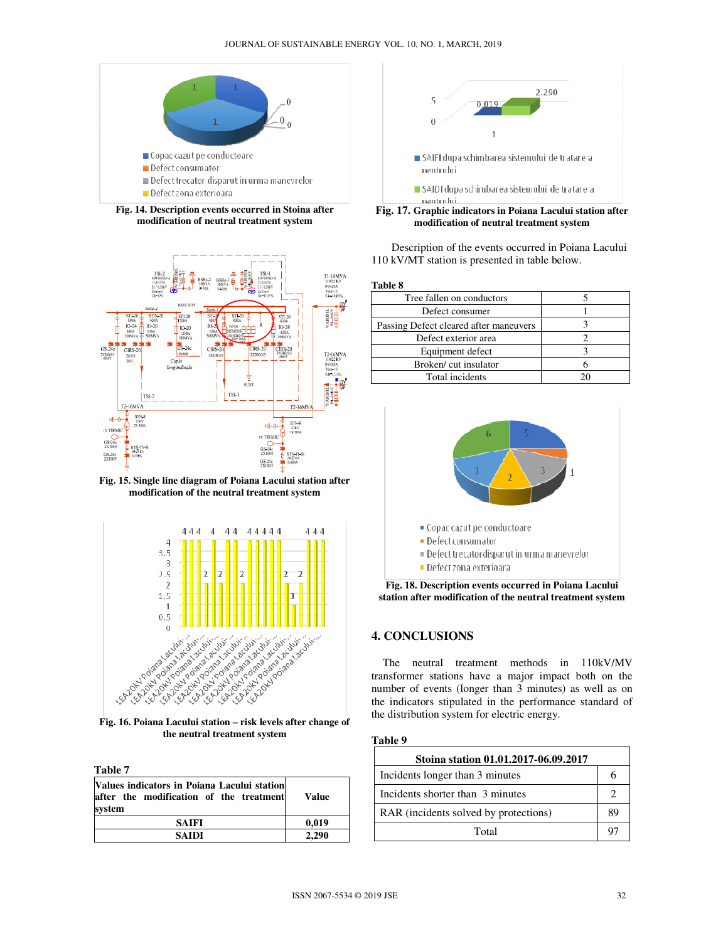

**Fig. 14. Description events occurred in Stoina after modification of neutral treatment system** 



**Fig. 15. Single line diagram of Poiana Lacului station after modification of the neutral treatment system** 



**Fig. 16. Poiana Lacului station – risk levels after change of the neutral treatment system** 

**Table 7** 

| Values indicators in Poiana Lacului station<br>after the modification of the treatment<br>system | <b>Value</b> |
|--------------------------------------------------------------------------------------------------|--------------|
| <b>SAIFI</b>                                                                                     | 0.019        |
| SAIDI                                                                                            | 2.290        |



**Fig. 17. Graphic indicators in Poiana Lacului station after modification of neutral treatment system**

Description of the events occurred in Poiana Lacului 110 kV/MT station is presented in table below.

**Table 8** 

| Tree fallen on conductors              |    |
|----------------------------------------|----|
| Defect consumer                        |    |
| Passing Defect cleared after maneuvers |    |
| Defect exterior area                   |    |
| Equipment defect                       |    |
| Broken/cut insulator                   |    |
| Total incidents                        | 20 |
|                                        |    |



**Fig. 18. Description events occurred in Poiana Lacului station after modification of the neutral treatment system** 

## **4. CONCLUSIONS**

 The neutral treatment methods in 110kV/MV transformer stations have a major impact both on the number of events (longer than 3 minutes) as well as on the indicators stipulated in the performance standard of the distribution system for electric energy.

#### **Table 9**

| Stoina station 01.01.2017-06.09.2017  |    |
|---------------------------------------|----|
| Incidents longer than 3 minutes       | n  |
| Incidents shorter than 3 minutes      |    |
| RAR (incidents solved by protections) |    |
| Total                                 | 97 |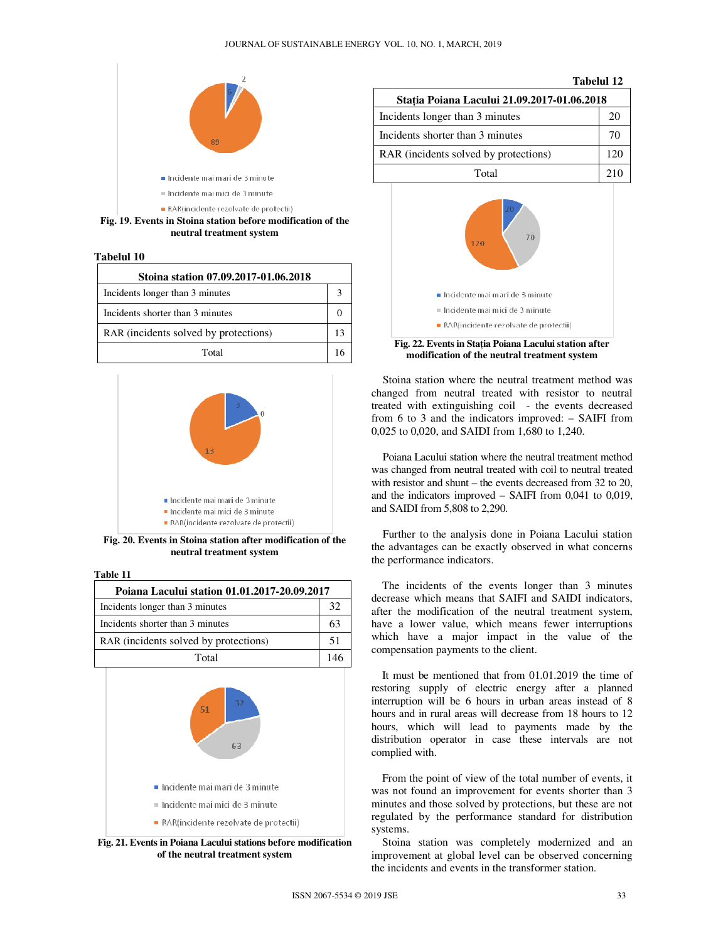

**Fig. 19. Events in Stoina station before modification of the neutral treatment system** 

**Tabelul 10**

| Stoina station 07.09.2017-01.06.2018  |  |
|---------------------------------------|--|
| Incidents longer than 3 minutes       |  |
| Incidents shorter than 3 minutes      |  |
| RAR (incidents solved by protections) |  |
| Total                                 |  |



**Fig. 20. Events in Stoina station after modification of the neutral treatment system** 

**Table 11**

| Poiana Lacului station 01.01.2017-20.09.2017 |    |
|----------------------------------------------|----|
| Incidents longer than 3 minutes              | 32 |
| Incidents shorter than 3 minutes             | 63 |
| RAR (incidents solved by protections)        | 51 |
| Total                                        |    |



**Fig. 21. Events in Poiana Lacului stations before modification of the neutral treatment system**

|                                             | <b>Tabelul 12</b> |  |
|---------------------------------------------|-------------------|--|
| Statia Poiana Lacului 21.09.2017-01.06.2018 |                   |  |
| Incidents longer than 3 minutes             | 20                |  |
| Incidents shorter than 3 minutes            | 70                |  |
| RAR (incidents solved by protections)       | 120               |  |
| Total                                       | 210               |  |
|                                             |                   |  |



**Fig. 22. Events in Sta**ţ**ia Poiana Lacului station after modification of the neutral treatment system**

 Stoina station where the neutral treatment method was changed from neutral treated with resistor to neutral treated with extinguishing coil - the events decreased from 6 to 3 and the indicators improved: – SAIFI from 0,025 to 0,020, and SAIDI from 1,680 to 1,240.

 Poiana Lacului station where the neutral treatment method was changed from neutral treated with coil to neutral treated with resistor and shunt – the events decreased from 32 to 20, and the indicators improved – SAIFI from 0,041 to 0,019, and SAIDI from 5,808 to 2,290.

 Further to the analysis done in Poiana Lacului station the advantages can be exactly observed in what concerns the performance indicators.

The incidents of the events longer than 3 minutes decrease which means that SAIFI and SAIDI indicators, after the modification of the neutral treatment system, have a lower value, which means fewer interruptions which have a major impact in the value of the compensation payments to the client.

It must be mentioned that from 01.01.2019 the time of restoring supply of electric energy after a planned interruption will be 6 hours in urban areas instead of 8 hours and in rural areas will decrease from 18 hours to 12 hours, which will lead to payments made by the distribution operator in case these intervals are not complied with.

From the point of view of the total number of events, it was not found an improvement for events shorter than 3 minutes and those solved by protections, but these are not regulated by the performance standard for distribution systems.

Stoina station was completely modernized and an improvement at global level can be observed concerning the incidents and events in the transformer station.